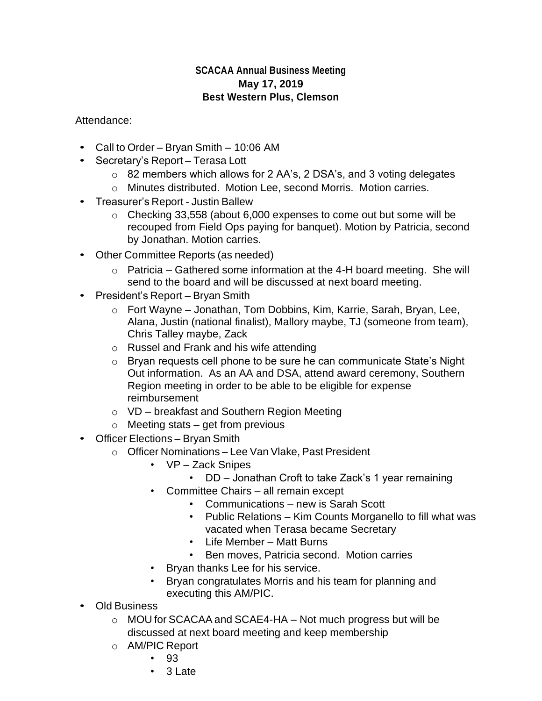## **SCACAA Annual Business Meeting May 17, 2019 Best Western Plus, Clemson**

Attendance:

- Call to Order Bryan Smith 10:06 AM
- Secretary's Report Terasa Lott
	- o 82 members which allows for 2 AA's, 2 DSA's, and 3 voting delegates
	- o Minutes distributed. Motion Lee, second Morris. Motion carries.
- Treasurer's Report Justin Ballew
	- o Checking 33,558 (about 6,000 expenses to come out but some will be recouped from Field Ops paying for banquet). Motion by Patricia, second by Jonathan. Motion carries.
- Other Committee Reports (as needed)
	- $\circ$  Patricia Gathered some information at the 4-H board meeting. She will send to the board and will be discussed at next board meeting.
- President's Report Bryan Smith
	- o Fort Wayne Jonathan, Tom Dobbins, Kim, Karrie, Sarah, Bryan, Lee, Alana, Justin (national finalist), Mallory maybe, TJ (someone from team), Chris Talley maybe, Zack
	- o Russel and Frank and his wife attending
	- o Bryan requests cell phone to be sure he can communicate State's Night Out information. As an AA and DSA, attend award ceremony, Southern Region meeting in order to be able to be eligible for expense reimbursement
	- o VD breakfast and Southern Region Meeting
	- $\circ$  Meeting stats get from previous
- Officer Elections Bryan Smith
	- o Officer Nominations Lee Van Vlake, Past President
		- VP Zack Snipes
			- DD Jonathan Croft to take Zack's 1 year remaining
		- Committee Chairs all remain except
			- Communications new is Sarah Scott
			- Public Relations Kim Counts Morganello to fill what was vacated when Terasa became Secretary
			- Life Member Matt Burns
			- Ben moves, Patricia second. Motion carries
		- Bryan thanks Lee for his service.
		- Bryan congratulates Morris and his team for planning and executing this AM/PIC.
- Old Business
	- o MOU for SCACAA and SCAE4-HA Not much progress but will be discussed at next board meeting and keep membership
	- o AM/PIC Report
		- 93
		- 3 Late